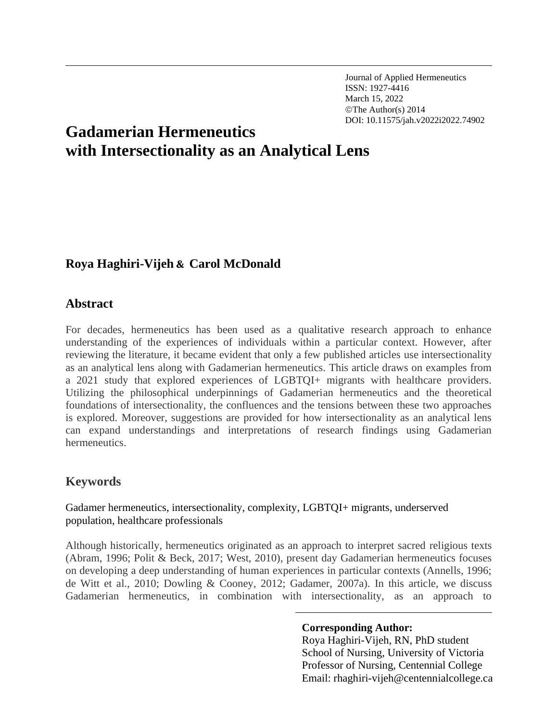Journal of Applied Hermeneutics ISSN: 1927-4416 March 15, 2022 ©The Author(s) 2014 DOI: 10.11575/jah.v2022i2022.74902

# **Gadamerian Hermeneutics with Intersectionality as an Analytical Lens**

# **Roya Haghiri-Vijeh & Carol McDonald**

# **Abstract**

For decades, hermeneutics has been used as a qualitative research approach to enhance understanding of the experiences of individuals within a particular context. However, after reviewing the literature, it became evident that only a few published articles use intersectionality as an analytical lens along with Gadamerian hermeneutics. This article draws on examples from a 2021 study that explored experiences of LGBTQI+ migrants with healthcare providers. Utilizing the philosophical underpinnings of Gadamerian hermeneutics and the theoretical foundations of intersectionality, the confluences and the tensions between these two approaches is explored. Moreover, suggestions are provided for how intersectionality as an analytical lens can expand understandings and interpretations of research findings using Gadamerian hermeneutics.

# **Keywords**

Gadamer hermeneutics, intersectionality, complexity, LGBTQI+ migrants, underserved population, healthcare professionals

Although historically, hermeneutics originated as an approach to interpret sacred religious texts (Abram, 1996; Polit & Beck, 2017; West, 2010), present day Gadamerian hermeneutics focuses on developing a deep understanding of human experiences in particular contexts (Annells, 1996; de Witt et al., 2010; Dowling & Cooney, 2012; Gadamer, 2007a). In this article, we discuss Gadamerian hermeneutics, in combination with intersectionality, as an approach to

#### **Corresponding Author:**

Roya Haghiri-Vijeh, RN, PhD student School of Nursing, University of Victoria Professor of Nursing, Centennial College Email: rhaghiri-vijeh@centennialcollege.ca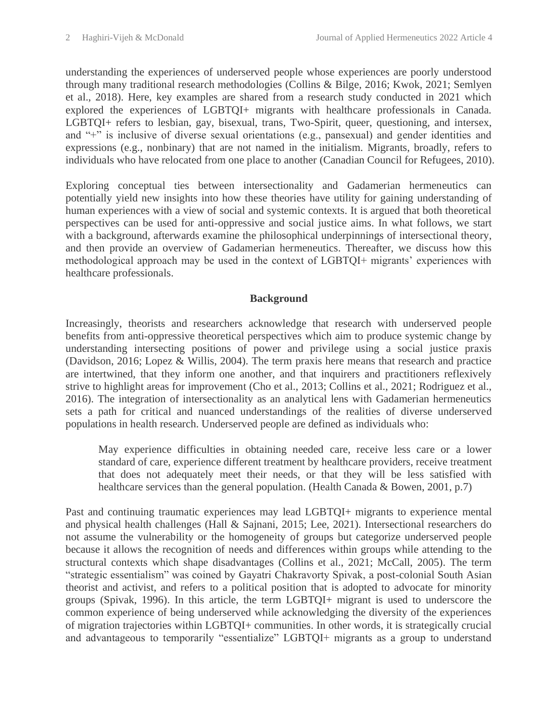understanding the experiences of underserved people whose experiences are poorly understood through many traditional research methodologies (Collins & Bilge, 2016; Kwok, 2021; Semlyen et al., 2018). Here, key examples are shared from a research study conducted in 2021 which explored the experiences of LGBTQI+ migrants with healthcare professionals in Canada. LGBTQI+ refers to lesbian, gay, bisexual, trans, Two-Spirit, queer, questioning, and intersex, and "+" is inclusive of diverse sexual orientations (e.g., pansexual) and gender identities and expressions (e.g., nonbinary) that are not named in the initialism. Migrants, broadly, refers to individuals who have relocated from one place to another (Canadian Council for Refugees, 2010).

Exploring conceptual ties between intersectionality and Gadamerian hermeneutics can potentially yield new insights into how these theories have utility for gaining understanding of human experiences with a view of social and systemic contexts. It is argued that both theoretical perspectives can be used for anti-oppressive and social justice aims. In what follows, we start with a background, afterwards examine the philosophical underpinnings of intersectional theory, and then provide an overview of Gadamerian hermeneutics. Thereafter, we discuss how this methodological approach may be used in the context of LGBTQI+ migrants' experiences with healthcare professionals.

## **Background**

Increasingly, theorists and researchers acknowledge that research with underserved people benefits from anti-oppressive theoretical perspectives which aim to produce systemic change by understanding intersecting positions of power and privilege using a social justice praxis (Davidson, 2016; Lopez & Willis, 2004). The term praxis here means that research and practice are intertwined, that they inform one another, and that inquirers and practitioners reflexively strive to highlight areas for improvement (Cho et al., 2013; Collins et al., 2021; Rodriguez et al., 2016). The integration of intersectionality as an analytical lens with Gadamerian hermeneutics sets a path for critical and nuanced understandings of the realities of diverse underserved populations in health research. Underserved people are defined as individuals who:

May experience difficulties in obtaining needed care, receive less care or a lower standard of care, experience different treatment by healthcare providers, receive treatment that does not adequately meet their needs, or that they will be less satisfied with healthcare services than the general population. (Health Canada & Bowen, 2001, p.7)

Past and continuing traumatic experiences may lead LGBTQI+ migrants to experience mental and physical health challenges (Hall & Sajnani, 2015; Lee, 2021). Intersectional researchers do not assume the vulnerability or the homogeneity of groups but categorize underserved people because it allows the recognition of needs and differences within groups while attending to the structural contexts which shape disadvantages (Collins et al., 2021; McCall, 2005). The term "strategic essentialism" was coined by Gayatri Chakravorty Spivak, a post-colonial South Asian theorist and activist, and refers to a political position that is adopted to advocate for minority groups (Spivak, 1996). In this article, the term LGBTQI+ migrant is used to underscore the common experience of being underserved while acknowledging the diversity of the experiences of migration trajectories within LGBTQI+ communities. In other words, it is strategically crucial and advantageous to temporarily "essentialize" LGBTQI+ migrants as a group to understand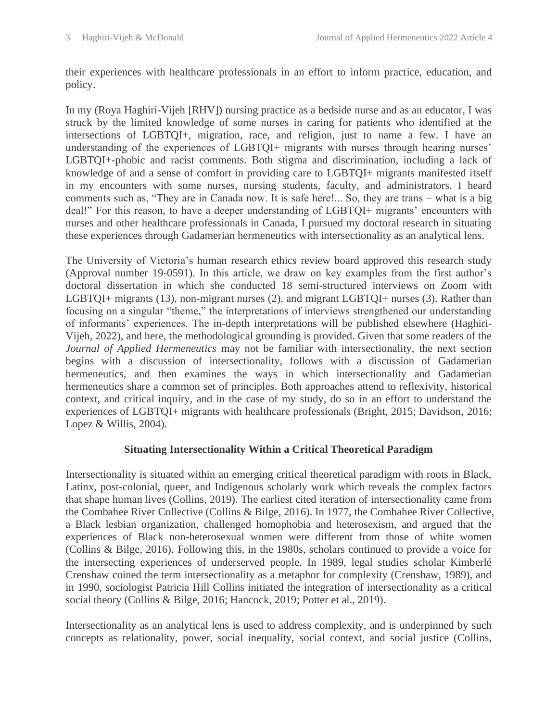their experiences with healthcare professionals in an effort to inform practice, education, and policy.

In my (Roya Haghiri-Vijeh [RHV]) nursing practice as a bedside nurse and as an educator, I was struck by the limited knowledge of some nurses in caring for patients who identified at the intersections of LGBTQI+, migration, race, and religion, just to name a few. I have an understanding of the experiences of LGBTQI+ migrants with nurses through hearing nurses' LGBTQI+-phobic and racist comments. Both stigma and discrimination, including a lack of knowledge of and a sense of comfort in providing care to LGBTQI+ migrants manifested itself in my encounters with some nurses, nursing students, faculty, and administrators. I heard comments such as, "They are in Canada now. It is safe here!... So, they are trans – what is a big deal!" For this reason, to have a deeper understanding of LGBTQI+ migrants' encounters with nurses and other healthcare professionals in Canada, I pursued my doctoral research in situating these experiences through Gadamerian hermeneutics with intersectionality as an analytical lens.

The University of Victoria's human research ethics review board approved this research study (Approval number 19-0591). In this article, we draw on key examples from the first author's doctoral dissertation in which she conducted 18 semi-structured interviews on Zoom with LGBTQI+ migrants (13), non-migrant nurses (2), and migrant LGBTQI+ nurses (3). Rather than focusing on a singular "theme," the interpretations of interviews strengthened our understanding of informants' experiences. The in-depth interpretations will be published elsewhere (Haghiri-Vijeh, 2022), and here, the methodological grounding is provided. Given that some readers of the *Journal of Applied Hermeneutics* may not be familiar with intersectionality, the next section begins with a discussion of intersectionality, follows with a discussion of Gadamerian hermeneutics, and then examines the ways in which intersectionality and Gadamerian hermeneutics share a common set of principles. Both approaches attend to reflexivity, historical context, and critical inquiry, and in the case of my study, do so in an effort to understand the experiences of LGBTQI+ migrants with healthcare professionals (Bright, 2015; Davidson, 2016; Lopez & Willis, 2004).

# **Situating Intersectionality Within a Critical Theoretical Paradigm**

Intersectionality is situated within an emerging critical theoretical paradigm with roots in Black, Latinx, post-colonial, queer, and Indigenous scholarly work which reveals the complex factors that shape human lives (Collins, 2019). The earliest cited iteration of intersectionality came from the Combahee River Collective (Collins & Bilge, 2016). In 1977, the Combahee River Collective, a Black lesbian organization, challenged homophobia and heterosexism, and argued that the experiences of Black non-heterosexual women were different from those of white women (Collins & Bilge, 2016). Following this, in the 1980s, scholars continued to provide a voice for the intersecting experiences of underserved people. In 1989, legal studies scholar Kimberlé Crenshaw coined the term intersectionality as a metaphor for complexity (Crenshaw, 1989), and in 1990, sociologist Patricia Hill Collins initiated the integration of intersectionality as a critical social theory (Collins & Bilge, 2016; Hancock, 2019; Potter et al., 2019).

Intersectionality as an analytical lens is used to address complexity, and is underpinned by such concepts as relationality, power, social inequality, social context, and social justice (Collins,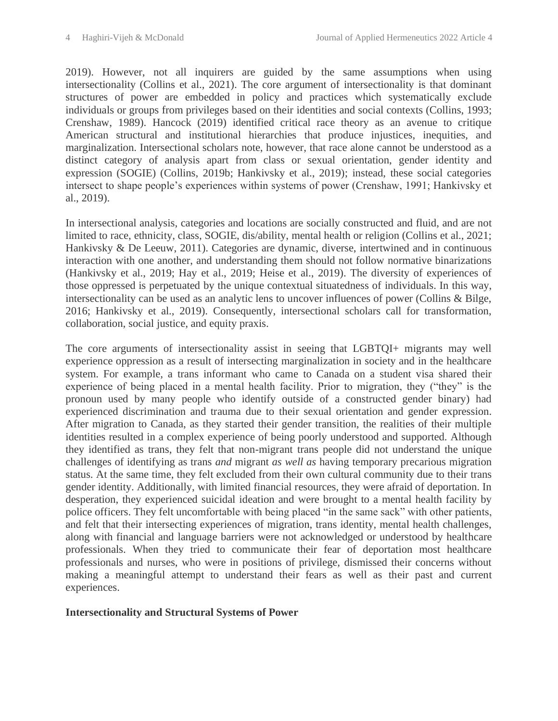2019). However, not all inquirers are guided by the same assumptions when using intersectionality (Collins et al., 2021). The core argument of intersectionality is that dominant structures of power are embedded in policy and practices which systematically exclude individuals or groups from privileges based on their identities and social contexts (Collins, 1993; Crenshaw, 1989). Hancock (2019) identified critical race theory as an avenue to critique American structural and institutional hierarchies that produce injustices, inequities, and marginalization. Intersectional scholars note, however, that race alone cannot be understood as a distinct category of analysis apart from class or sexual orientation, gender identity and expression (SOGIE) (Collins, 2019b; Hankivsky et al., 2019); instead, these social categories intersect to shape people's experiences within systems of power (Crenshaw, 1991; Hankivsky et al., 2019).

In intersectional analysis, categories and locations are socially constructed and fluid, and are not limited to race, ethnicity, class, SOGIE, dis/ability, mental health or religion (Collins et al., 2021; Hankivsky & De Leeuw, 2011). Categories are dynamic, diverse, intertwined and in continuous interaction with one another, and understanding them should not follow normative binarizations (Hankivsky et al., 2019; Hay et al., 2019; Heise et al., 2019). The diversity of experiences of those oppressed is perpetuated by the unique contextual situatedness of individuals. In this way, intersectionality can be used as an analytic lens to uncover influences of power (Collins & Bilge, 2016; Hankivsky et al., 2019). Consequently, intersectional scholars call for transformation, collaboration, social justice, and equity praxis.

The core arguments of intersectionality assist in seeing that LGBTQI+ migrants may well experience oppression as a result of intersecting marginalization in society and in the healthcare system. For example, a trans informant who came to Canada on a student visa shared their experience of being placed in a mental health facility. Prior to migration, they ("they" is the pronoun used by many people who identify outside of a constructed gender binary) had experienced discrimination and trauma due to their sexual orientation and gender expression. After migration to Canada, as they started their gender transition, the realities of their multiple identities resulted in a complex experience of being poorly understood and supported. Although they identified as trans, they felt that non-migrant trans people did not understand the unique challenges of identifying as trans *and* migrant *as well as* having temporary precarious migration status. At the same time, they felt excluded from their own cultural community due to their trans gender identity. Additionally, with limited financial resources, they were afraid of deportation. In desperation, they experienced suicidal ideation and were brought to a mental health facility by police officers. They felt uncomfortable with being placed "in the same sack" with other patients, and felt that their intersecting experiences of migration, trans identity, mental health challenges, along with financial and language barriers were not acknowledged or understood by healthcare professionals. When they tried to communicate their fear of deportation most healthcare professionals and nurses, who were in positions of privilege, dismissed their concerns without making a meaningful attempt to understand their fears as well as their past and current experiences.

#### **Intersectionality and Structural Systems of Power**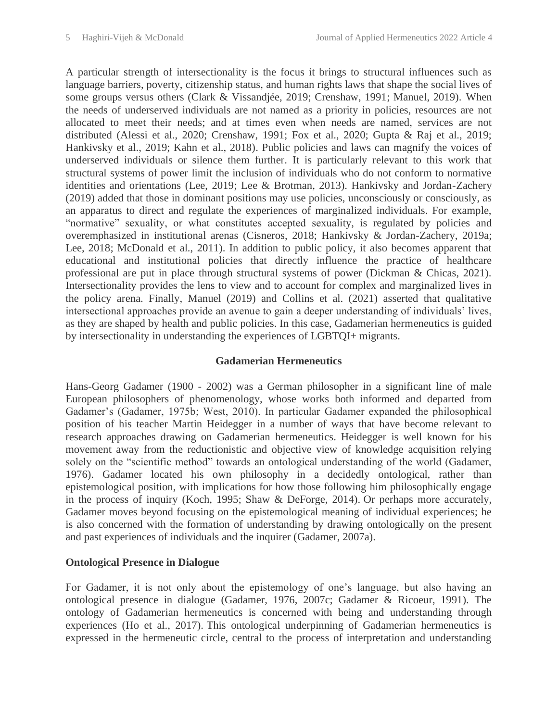A particular strength of intersectionality is the focus it brings to structural influences such as language barriers, poverty, citizenship status, and human rights laws that shape the social lives of some groups versus others (Clark & Vissandjée, 2019; Crenshaw, 1991; Manuel, 2019). When the needs of underserved individuals are not named as a priority in policies, resources are not allocated to meet their needs; and at times even when needs are named, services are not distributed (Alessi et al., 2020; Crenshaw, 1991; Fox et al., 2020; Gupta & Raj et al., 2019; Hankivsky et al., 2019; Kahn et al., 2018). Public policies and laws can magnify the voices of underserved individuals or silence them further. It is particularly relevant to this work that structural systems of power limit the inclusion of individuals who do not conform to normative identities and orientations (Lee, 2019; Lee & Brotman, 2013). Hankivsky and Jordan-Zachery (2019) added that those in dominant positions may use policies, unconsciously or consciously, as an apparatus to direct and regulate the experiences of marginalized individuals. For example, "normative" sexuality, or what constitutes accepted sexuality, is regulated by policies and overemphasized in institutional arenas (Cisneros, 2018; Hankivsky & Jordan-Zachery, 2019a; Lee, 2018; McDonald et al., 2011). In addition to public policy, it also becomes apparent that educational and institutional policies that directly influence the practice of healthcare professional are put in place through structural systems of power (Dickman & Chicas, 2021). Intersectionality provides the lens to view and to account for complex and marginalized lives in the policy arena. Finally, Manuel (2019) and Collins et al. (2021) asserted that qualitative intersectional approaches provide an avenue to gain a deeper understanding of individuals' lives, as they are shaped by health and public policies. In this case, Gadamerian hermeneutics is guided by intersectionality in understanding the experiences of LGBTQI+ migrants.

## **Gadamerian Hermeneutics**

Hans-Georg Gadamer (1900 - 2002) was a German philosopher in a significant line of male European philosophers of phenomenology, whose works both informed and departed from Gadamer's (Gadamer, 1975b; West, 2010). In particular Gadamer expanded the philosophical position of his teacher Martin Heidegger in a number of ways that have become relevant to research approaches drawing on Gadamerian hermeneutics. Heidegger is well known for his movement away from the reductionistic and objective view of knowledge acquisition relying solely on the "scientific method" towards an ontological understanding of the world (Gadamer, 1976). Gadamer located his own philosophy in a decidedly ontological, rather than epistemological position, with implications for how those following him philosophically engage in the process of inquiry (Koch, 1995; Shaw & DeForge, 2014). Or perhaps more accurately, Gadamer moves beyond focusing on the epistemological meaning of individual experiences; he is also concerned with the formation of understanding by drawing ontologically on the present and past experiences of individuals and the inquirer (Gadamer, 2007a).

## **Ontological Presence in Dialogue**

For Gadamer, it is not only about the epistemology of one's language, but also having an ontological presence in dialogue (Gadamer, 1976, 2007c; Gadamer & Ricoeur, 1991). The ontology of Gadamerian hermeneutics is concerned with being and understanding through experiences (Ho et al., 2017). This ontological underpinning of Gadamerian hermeneutics is expressed in the hermeneutic circle, central to the process of interpretation and understanding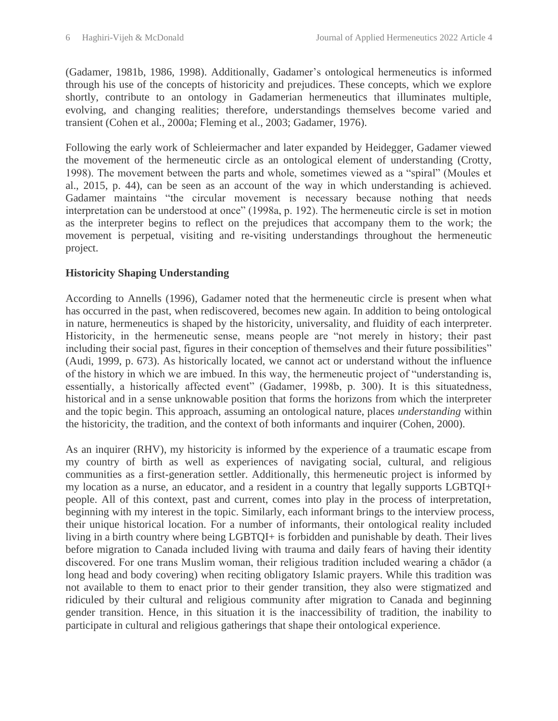(Gadamer, 1981b, 1986, 1998). Additionally, Gadamer's ontological hermeneutics is informed through his use of the concepts of historicity and prejudices. These concepts, which we explore shortly, contribute to an ontology in Gadamerian hermeneutics that illuminates multiple, evolving, and changing realities; therefore, understandings themselves become varied and transient (Cohen et al., 2000a; Fleming et al., 2003; Gadamer, 1976).

Following the early work of Schleiermacher and later expanded by Heidegger, Gadamer viewed the movement of the hermeneutic circle as an ontological element of understanding (Crotty, 1998). The movement between the parts and whole, sometimes viewed as a "spiral" (Moules et al., 2015, p. 44), can be seen as an account of the way in which understanding is achieved. Gadamer maintains "the circular movement is necessary because nothing that needs interpretation can be understood at once" (1998a, p. 192). The hermeneutic circle is set in motion as the interpreter begins to reflect on the prejudices that accompany them to the work; the movement is perpetual, visiting and re-visiting understandings throughout the hermeneutic project.

# **Historicity Shaping Understanding**

According to Annells (1996), Gadamer noted that the hermeneutic circle is present when what has occurred in the past, when rediscovered, becomes new again. In addition to being ontological in nature, hermeneutics is shaped by the historicity, universality, and fluidity of each interpreter. Historicity, in the hermeneutic sense, means people are "not merely in history; their past including their social past, figures in their conception of themselves and their future possibilities" (Audi, 1999, p. 673). As historically located, we cannot act or understand without the influence of the history in which we are imbued. In this way, the hermeneutic project of "understanding is, essentially, a historically affected event" (Gadamer, 1998b, p. 300). It is this situatedness, historical and in a sense unknowable position that forms the horizons from which the interpreter and the topic begin. This approach, assuming an ontological nature, places *understanding* within the historicity, the tradition, and the context of both informants and inquirer (Cohen, 2000).

As an inquirer (RHV), my historicity is informed by the experience of a traumatic escape from my country of birth as well as experiences of navigating social, cultural, and religious communities as a first-generation settler. Additionally, this hermeneutic project is informed by my location as a nurse, an educator, and a resident in a country that legally supports LGBTQI+ people. All of this context, past and current, comes into play in the process of interpretation, beginning with my interest in the topic. Similarly, each informant brings to the interview process, their unique historical location. For a number of informants, their ontological reality included living in a birth country where being LGBTQI+ is forbidden and punishable by death. Their lives before migration to Canada included living with trauma and daily fears of having their identity discovered. For one trans Muslim woman, their religious tradition included wearing a chādor (a long head and body covering) when reciting obligatory Islamic prayers. While this tradition was not available to them to enact prior to their gender transition, they also were stigmatized and ridiculed by their cultural and religious community after migration to Canada and beginning gender transition. Hence, in this situation it is the inaccessibility of tradition, the inability to participate in cultural and religious gatherings that shape their ontological experience.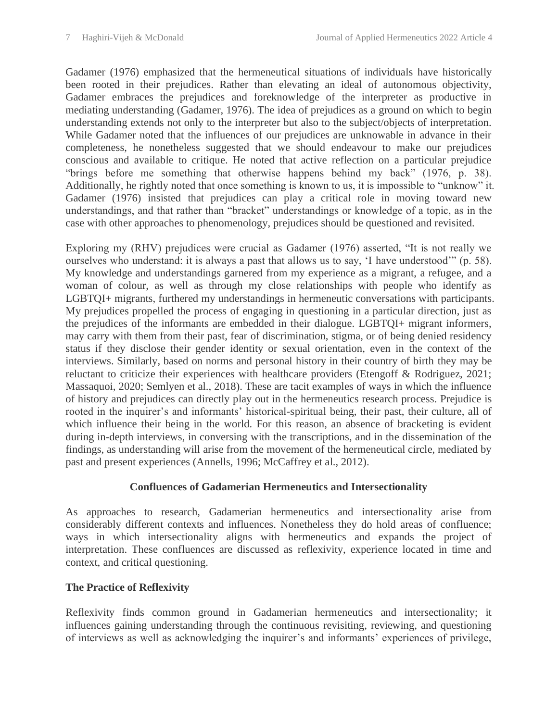Gadamer (1976) emphasized that the hermeneutical situations of individuals have historically been rooted in their prejudices. Rather than elevating an ideal of autonomous objectivity, Gadamer embraces the prejudices and foreknowledge of the interpreter as productive in mediating understanding (Gadamer, 1976). The idea of prejudices as a ground on which to begin understanding extends not only to the interpreter but also to the subject/objects of interpretation. While Gadamer noted that the influences of our prejudices are unknowable in advance in their completeness, he nonetheless suggested that we should endeavour to make our prejudices conscious and available to critique. He noted that active reflection on a particular prejudice "brings before me something that otherwise happens behind my back" (1976, p. 38). Additionally, he rightly noted that once something is known to us, it is impossible to "unknow" it. Gadamer (1976) insisted that prejudices can play a critical role in moving toward new understandings, and that rather than "bracket" understandings or knowledge of a topic, as in the case with other approaches to phenomenology, prejudices should be questioned and revisited.

Exploring my (RHV) prejudices were crucial as Gadamer (1976) asserted, "It is not really we ourselves who understand: it is always a past that allows us to say, 'I have understood'" (p. 58). My knowledge and understandings garnered from my experience as a migrant, a refugee, and a woman of colour, as well as through my close relationships with people who identify as LGBTQI+ migrants, furthered my understandings in hermeneutic conversations with participants. My prejudices propelled the process of engaging in questioning in a particular direction, just as the prejudices of the informants are embedded in their dialogue. LGBTQI+ migrant informers, may carry with them from their past, fear of discrimination, stigma, or of being denied residency status if they disclose their gender identity or sexual orientation, even in the context of the interviews. Similarly, based on norms and personal history in their country of birth they may be reluctant to criticize their experiences with healthcare providers (Etengoff & Rodriguez, 2021; Massaquoi, 2020; Semlyen et al., 2018). These are tacit examples of ways in which the influence of history and prejudices can directly play out in the hermeneutics research process. Prejudice is rooted in the inquirer's and informants' historical-spiritual being, their past, their culture, all of which influence their being in the world. For this reason, an absence of bracketing is evident during in-depth interviews, in conversing with the transcriptions, and in the dissemination of the findings, as understanding will arise from the movement of the hermeneutical circle, mediated by past and present experiences (Annells, 1996; McCaffrey et al., 2012).

# **Confluences of Gadamerian Hermeneutics and Intersectionality**

As approaches to research, Gadamerian hermeneutics and intersectionality arise from considerably different contexts and influences. Nonetheless they do hold areas of confluence; ways in which intersectionality aligns with hermeneutics and expands the project of interpretation. These confluences are discussed as reflexivity, experience located in time and context, and critical questioning.

# **The Practice of Reflexivity**

Reflexivity finds common ground in Gadamerian hermeneutics and intersectionality; it influences gaining understanding through the continuous revisiting, reviewing, and questioning of interviews as well as acknowledging the inquirer's and informants' experiences of privilege,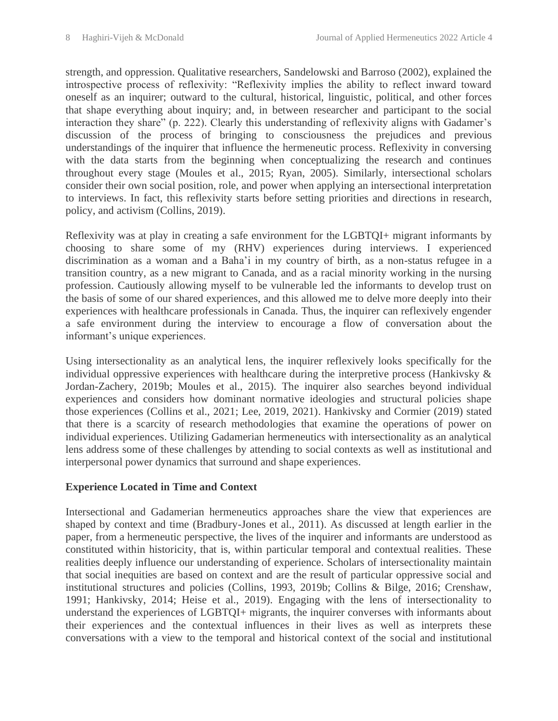strength, and oppression. Qualitative researchers, Sandelowski and Barroso (2002), explained the introspective process of reflexivity: "Reflexivity implies the ability to reflect inward toward oneself as an inquirer; outward to the cultural, historical, linguistic, political, and other forces that shape everything about inquiry; and, in between researcher and participant to the social interaction they share" (p. 222). Clearly this understanding of reflexivity aligns with Gadamer's discussion of the process of bringing to consciousness the prejudices and previous understandings of the inquirer that influence the hermeneutic process. Reflexivity in conversing with the data starts from the beginning when conceptualizing the research and continues throughout every stage (Moules et al., 2015; Ryan, 2005). Similarly, intersectional scholars consider their own social position, role, and power when applying an intersectional interpretation to interviews. In fact, this reflexivity starts before setting priorities and directions in research, policy, and activism (Collins, 2019).

Reflexivity was at play in creating a safe environment for the LGBTQI+ migrant informants by choosing to share some of my (RHV) experiences during interviews. I experienced discrimination as a woman and a Baha'i in my country of birth, as a non-status refugee in a transition country, as a new migrant to Canada, and as a racial minority working in the nursing profession. Cautiously allowing myself to be vulnerable led the informants to develop trust on the basis of some of our shared experiences, and this allowed me to delve more deeply into their experiences with healthcare professionals in Canada. Thus, the inquirer can reflexively engender a safe environment during the interview to encourage a flow of conversation about the informant's unique experiences.

Using intersectionality as an analytical lens, the inquirer reflexively looks specifically for the individual oppressive experiences with healthcare during the interpretive process (Hankivsky & Jordan-Zachery, 2019b; Moules et al., 2015). The inquirer also searches beyond individual experiences and considers how dominant normative ideologies and structural policies shape those experiences (Collins et al., 2021; Lee, 2019, 2021). Hankivsky and Cormier (2019) stated that there is a scarcity of research methodologies that examine the operations of power on individual experiences. Utilizing Gadamerian hermeneutics with intersectionality as an analytical lens address some of these challenges by attending to social contexts as well as institutional and interpersonal power dynamics that surround and shape experiences.

# **Experience Located in Time and Context**

Intersectional and Gadamerian hermeneutics approaches share the view that experiences are shaped by context and time (Bradbury-Jones et al., 2011). As discussed at length earlier in the paper, from a hermeneutic perspective, the lives of the inquirer and informants are understood as constituted within historicity, that is, within particular temporal and contextual realities. These realities deeply influence our understanding of experience. Scholars of intersectionality maintain that social inequities are based on context and are the result of particular oppressive social and institutional structures and policies (Collins, 1993, 2019b; Collins & Bilge, 2016; Crenshaw, 1991; Hankivsky, 2014; Heise et al., 2019). Engaging with the lens of intersectionality to understand the experiences of LGBTQI+ migrants, the inquirer converses with informants about their experiences and the contextual influences in their lives as well as interprets these conversations with a view to the temporal and historical context of the social and institutional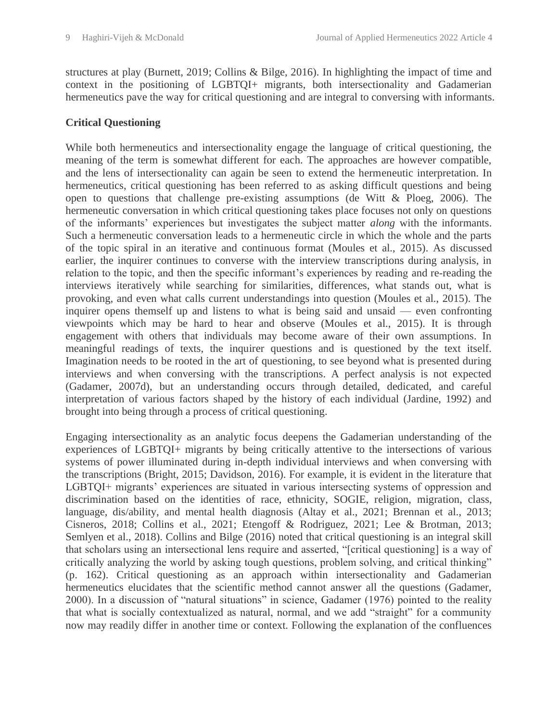structures at play (Burnett, 2019; Collins & Bilge, 2016). In highlighting the impact of time and context in the positioning of LGBTQI+ migrants, both intersectionality and Gadamerian hermeneutics pave the way for critical questioning and are integral to conversing with informants.

# **Critical Questioning**

While both hermeneutics and intersectionality engage the language of critical questioning, the meaning of the term is somewhat different for each. The approaches are however compatible, and the lens of intersectionality can again be seen to extend the hermeneutic interpretation. In hermeneutics, critical questioning has been referred to as asking difficult questions and being open to questions that challenge pre-existing assumptions (de Witt & Ploeg, 2006). The hermeneutic conversation in which critical questioning takes place focuses not only on questions of the informants' experiences but investigates the subject matter *along* with the informants. Such a hermeneutic conversation leads to a hermeneutic circle in which the whole and the parts of the topic spiral in an iterative and continuous format (Moules et al., 2015). As discussed earlier, the inquirer continues to converse with the interview transcriptions during analysis, in relation to the topic, and then the specific informant's experiences by reading and re-reading the interviews iteratively while searching for similarities, differences, what stands out, what is provoking, and even what calls current understandings into question (Moules et al., 2015). The inquirer opens themself up and listens to what is being said and unsaid — even confronting viewpoints which may be hard to hear and observe (Moules et al., 2015). It is through engagement with others that individuals may become aware of their own assumptions. In meaningful readings of texts, the inquirer questions and is questioned by the text itself. Imagination needs to be rooted in the art of questioning, to see beyond what is presented during interviews and when conversing with the transcriptions. A perfect analysis is not expected (Gadamer, 2007d), but an understanding occurs through detailed, dedicated, and careful interpretation of various factors shaped by the history of each individual (Jardine, 1992) and brought into being through a process of critical questioning.

Engaging intersectionality as an analytic focus deepens the Gadamerian understanding of the experiences of LGBTQI+ migrants by being critically attentive to the intersections of various systems of power illuminated during in-depth individual interviews and when conversing with the transcriptions (Bright, 2015; Davidson, 2016). For example, it is evident in the literature that LGBTQI+ migrants' experiences are situated in various intersecting systems of oppression and discrimination based on the identities of race, ethnicity, SOGIE, religion, migration, class, language, dis/ability, and mental health diagnosis (Altay et al., 2021; Brennan et al., 2013; Cisneros, 2018; Collins et al., 2021; Etengoff & Rodriguez, 2021; Lee & Brotman, 2013; Semlyen et al., 2018). Collins and Bilge (2016) noted that critical questioning is an integral skill that scholars using an intersectional lens require and asserted, "[critical questioning] is a way of critically analyzing the world by asking tough questions, problem solving, and critical thinking" (p. 162). Critical questioning as an approach within intersectionality and Gadamerian hermeneutics elucidates that the scientific method cannot answer all the questions (Gadamer, 2000). In a discussion of "natural situations" in science, Gadamer (1976) pointed to the reality that what is socially contextualized as natural, normal, and we add "straight" for a community now may readily differ in another time or context. Following the explanation of the confluences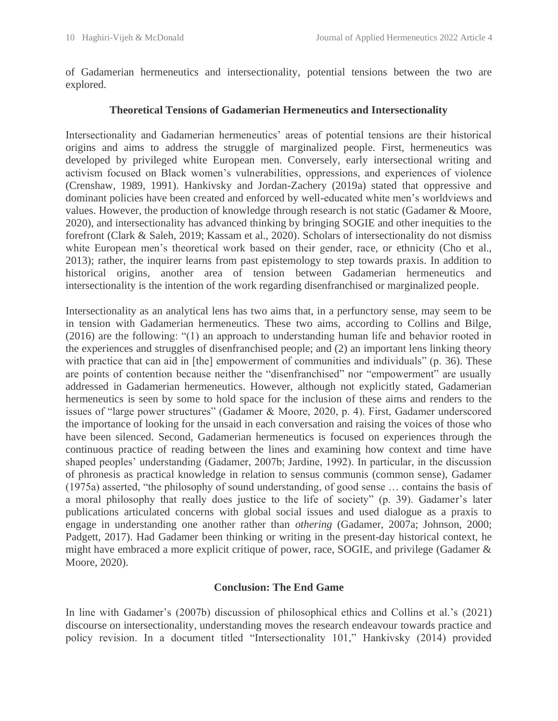of Gadamerian hermeneutics and intersectionality, potential tensions between the two are explored.

### **Theoretical Tensions of Gadamerian Hermeneutics and Intersectionality**

Intersectionality and Gadamerian hermeneutics' areas of potential tensions are their historical origins and aims to address the struggle of marginalized people. First, hermeneutics was developed by privileged white European men. Conversely, early intersectional writing and activism focused on Black women's vulnerabilities, oppressions, and experiences of violence (Crenshaw, 1989, 1991). Hankivsky and Jordan-Zachery (2019a) stated that oppressive and dominant policies have been created and enforced by well-educated white men's worldviews and values. However, the production of knowledge through research is not static (Gadamer & Moore, 2020), and intersectionality has advanced thinking by bringing SOGIE and other inequities to the forefront (Clark & Saleh, 2019; Kassam et al., 2020). Scholars of intersectionality do not dismiss white European men's theoretical work based on their gender, race, or ethnicity (Cho et al., 2013); rather, the inquirer learns from past epistemology to step towards praxis. In addition to historical origins, another area of tension between Gadamerian hermeneutics and intersectionality is the intention of the work regarding disenfranchised or marginalized people.

Intersectionality as an analytical lens has two aims that, in a perfunctory sense, may seem to be in tension with Gadamerian hermeneutics. These two aims, according to Collins and Bilge, (2016) are the following: "(1) an approach to understanding human life and behavior rooted in the experiences and struggles of disenfranchised people; and (2) an important lens linking theory with practice that can aid in [the] empowerment of communities and individuals" (p. 36). These are points of contention because neither the "disenfranchised" nor "empowerment" are usually addressed in Gadamerian hermeneutics. However, although not explicitly stated, Gadamerian hermeneutics is seen by some to hold space for the inclusion of these aims and renders to the issues of "large power structures" (Gadamer & Moore, 2020, p. 4). First, Gadamer underscored the importance of looking for the unsaid in each conversation and raising the voices of those who have been silenced. Second, Gadamerian hermeneutics is focused on experiences through the continuous practice of reading between the lines and examining how context and time have shaped peoples' understanding (Gadamer, 2007b; Jardine, 1992). In particular, in the discussion of phronesis as practical knowledge in relation to sensus communis (common sense), Gadamer (1975a) asserted, "the philosophy of sound understanding, of good sense … contains the basis of a moral philosophy that really does justice to the life of society" (p. 39). Gadamer's later publications articulated concerns with global social issues and used dialogue as a praxis to engage in understanding one another rather than *othering* (Gadamer, 2007a; Johnson, 2000; Padgett, 2017). Had Gadamer been thinking or writing in the present-day historical context, he might have embraced a more explicit critique of power, race, SOGIE, and privilege (Gadamer & Moore, 2020).

#### **Conclusion: The End Game**

In line with Gadamer's (2007b) discussion of philosophical ethics and Collins et al.'s (2021) discourse on intersectionality, understanding moves the research endeavour towards practice and policy revision. In a document titled "Intersectionality 101," Hankivsky (2014) provided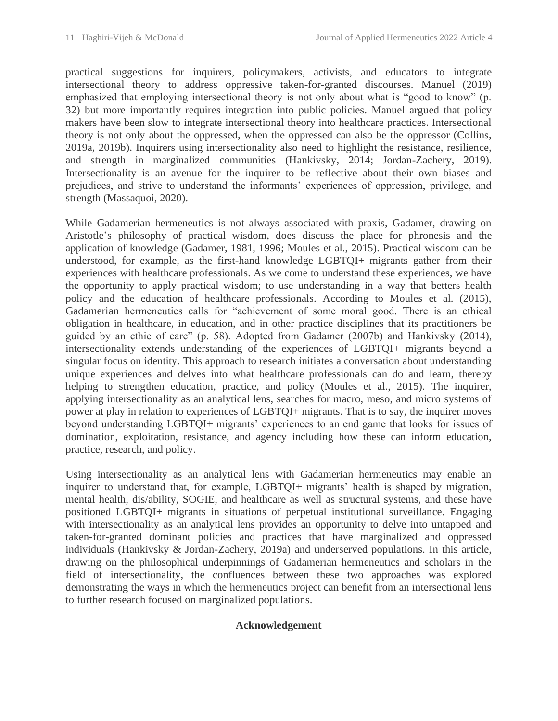practical suggestions for inquirers, policymakers, activists, and educators to integrate intersectional theory to address oppressive taken-for-granted discourses. Manuel (2019) emphasized that employing intersectional theory is not only about what is "good to know" (p. 32) but more importantly requires integration into public policies. Manuel argued that policy makers have been slow to integrate intersectional theory into healthcare practices. Intersectional theory is not only about the oppressed, when the oppressed can also be the oppressor (Collins, 2019a, 2019b). Inquirers using intersectionality also need to highlight the resistance, resilience, and strength in marginalized communities (Hankivsky, 2014; Jordan-Zachery, 2019). Intersectionality is an avenue for the inquirer to be reflective about their own biases and prejudices, and strive to understand the informants' experiences of oppression, privilege, and strength (Massaquoi, 2020).

While Gadamerian hermeneutics is not always associated with praxis, Gadamer, drawing on Aristotle's philosophy of practical wisdom, does discuss the place for phronesis and the application of knowledge (Gadamer, 1981, 1996; Moules et al., 2015). Practical wisdom can be understood, for example, as the first-hand knowledge LGBTQI+ migrants gather from their experiences with healthcare professionals. As we come to understand these experiences, we have the opportunity to apply practical wisdom; to use understanding in a way that betters health policy and the education of healthcare professionals. According to Moules et al. (2015), Gadamerian hermeneutics calls for "achievement of some moral good. There is an ethical obligation in healthcare, in education, and in other practice disciplines that its practitioners be guided by an ethic of care" (p. 58). Adopted from Gadamer (2007b) and Hankivsky (2014), intersectionality extends understanding of the experiences of LGBTQI+ migrants beyond a singular focus on identity. This approach to research initiates a conversation about understanding unique experiences and delves into what healthcare professionals can do and learn, thereby helping to strengthen education, practice, and policy (Moules et al., 2015). The inquirer, applying intersectionality as an analytical lens, searches for macro, meso, and micro systems of power at play in relation to experiences of LGBTQI+ migrants. That is to say, the inquirer moves beyond understanding LGBTQI+ migrants' experiences to an end game that looks for issues of domination, exploitation, resistance, and agency including how these can inform education, practice, research, and policy.

Using intersectionality as an analytical lens with Gadamerian hermeneutics may enable an inquirer to understand that, for example, LGBTQI+ migrants' health is shaped by migration, mental health, dis/ability, SOGIE, and healthcare as well as structural systems, and these have positioned LGBTQI+ migrants in situations of perpetual institutional surveillance. Engaging with intersectionality as an analytical lens provides an opportunity to delve into untapped and taken-for-granted dominant policies and practices that have marginalized and oppressed individuals (Hankivsky & Jordan-Zachery, 2019a) and underserved populations. In this article, drawing on the philosophical underpinnings of Gadamerian hermeneutics and scholars in the field of intersectionality, the confluences between these two approaches was explored demonstrating the ways in which the hermeneutics project can benefit from an intersectional lens to further research focused on marginalized populations.

# **Acknowledgement**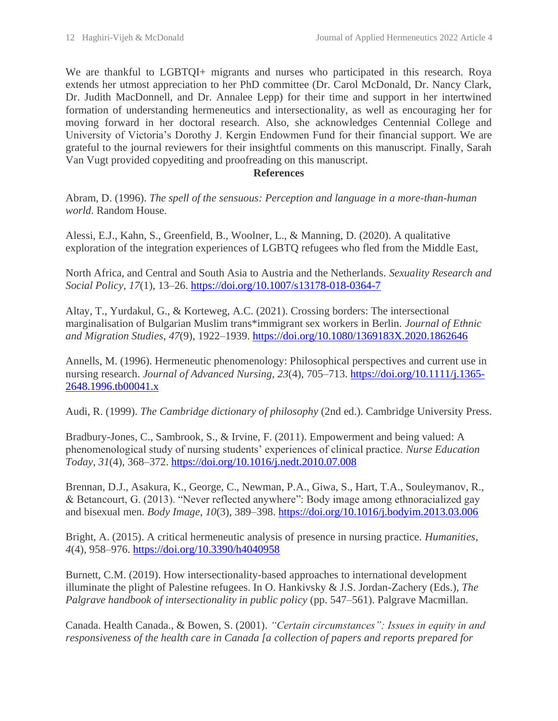We are thankful to LGBTQI+ migrants and nurses who participated in this research. Roya extends her utmost appreciation to her PhD committee (Dr. Carol McDonald, Dr. Nancy Clark, Dr. Judith MacDonnell, and Dr. Annalee Lepp) for their time and support in her intertwined formation of understanding hermeneutics and intersectionality, as well as encouraging her for moving forward in her doctoral research. Also, she acknowledges Centennial College and University of Victoria's Dorothy J. Kergin Endowmen Fund for their financial support. We are grateful to the journal reviewers for their insightful comments on this manuscript. Finally, Sarah Van Vugt provided copyediting and proofreading on this manuscript.

#### **References**

Abram, D. (1996). *The spell of the sensuous: Perception and language in a more-than-human world*. Random House.

Alessi, E.J., Kahn, S., Greenfield, B., Woolner, L., & Manning, D. (2020). A qualitative exploration of the integration experiences of LGBTQ refugees who fled from the Middle East,

North Africa, and Central and South Asia to Austria and the Netherlands. *Sexuality Research and Social Policy*, *17*(1), 13–26.<https://doi.org/10.1007/s13178-018-0364-7>

Altay, T., Yurdakul, G., & Korteweg, A.C. (2021). Crossing borders: The intersectional marginalisation of Bulgarian Muslim trans\*immigrant sex workers in Berlin. *Journal of Ethnic and Migration Studies*, *47*(9), 1922–1939.<https://doi.org/10.1080/1369183X.2020.1862646>

Annells, M. (1996). Hermeneutic phenomenology: Philosophical perspectives and current use in nursing research. *Journal of Advanced Nursing*, *23*(4), 705–713. [https://doi.org/10.1111/j.1365-](https://doi.org/10.1111/j.1365-2648.1996.tb00041.x) [2648.1996.tb00041.x](https://doi.org/10.1111/j.1365-2648.1996.tb00041.x)

Audi, R. (1999). *The Cambridge dictionary of philosophy* (2nd ed.). Cambridge University Press.

Bradbury-Jones, C., Sambrook, S., & Irvine, F. (2011). Empowerment and being valued: A phenomenological study of nursing students' experiences of clinical practice. *Nurse Education Today*, *31*(4), 368–372.<https://doi.org/10.1016/j.nedt.2010.07.008>

Brennan, D.J., Asakura, K., George, C., Newman, P.A., Giwa, S., Hart, T.A., Souleymanov, R., & Betancourt, G. (2013). "Never reflected anywhere": Body image among ethnoracialized gay and bisexual men. *Body Image*, *10*(3), 389–398.<https://doi.org/10.1016/j.bodyim.2013.03.006>

Bright, A. (2015). A critical hermeneutic analysis of presence in nursing practice. *Humanities*, *4*(4), 958–976.<https://doi.org/10.3390/h4040958>

Burnett, C.M. (2019). How intersectionality-based approaches to international development illuminate the plight of Palestine refugees. In O. Hankivsky & J.S. Jordan-Zachery (Eds.), *The Palgrave handbook of intersectionality in public policy* (pp. 547–561). Palgrave Macmillan.

Canada. Health Canada., & Bowen, S. (2001). *"Certain circumstances": Issues in equity in and responsiveness of the health care in Canada [a collection of papers and reports prepared for*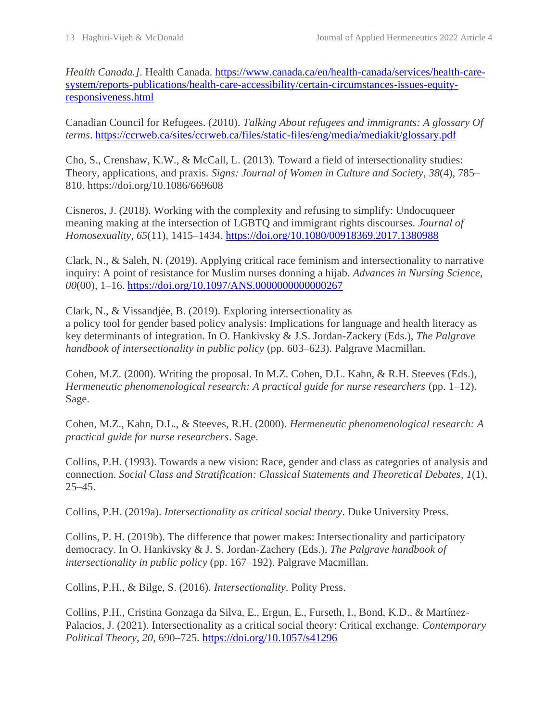*Health Canada.]*. Health Canada. [https://www.canada.ca/en/health-canada/services/health-care](https://www.canada.ca/en/health-canada/services/health-care-system/reports-publications/health-care-accessibility/certain-circumstances-issues-equity-responsiveness.html)[system/reports-publications/health-care-accessibility/certain-circumstances-issues-equity](https://www.canada.ca/en/health-canada/services/health-care-system/reports-publications/health-care-accessibility/certain-circumstances-issues-equity-responsiveness.html)[responsiveness.html](https://www.canada.ca/en/health-canada/services/health-care-system/reports-publications/health-care-accessibility/certain-circumstances-issues-equity-responsiveness.html)

Canadian Council for Refugees. (2010). *Talking About refugees and immigrants: A glossary Of terms*.<https://ccrweb.ca/sites/ccrweb.ca/files/static-files/eng/media/mediakit/glossary.pdf>

Cho, S., Crenshaw, K.W., & McCall, L. (2013). Toward a field of intersectionality studies: Theory, applications, and praxis. *Signs: Journal of Women in Culture and Society*, *38*(4), 785– 810. https://doi.org/10.1086/669608

Cisneros, J. (2018). Working with the complexity and refusing to simplify: Undocuqueer meaning making at the intersection of LGBTQ and immigrant rights discourses. *Journal of Homosexuality*, *65*(11), 1415–1434.<https://doi.org/10.1080/00918369.2017.1380988>

Clark, N., & Saleh, N. (2019). Applying critical race feminism and intersectionality to narrative inquiry: A point of resistance for Muslim nurses donning a hijab. *Advances in Nursing Science*, *00*(00), 1–16.<https://doi.org/10.1097/ANS.0000000000000267>

Clark, N., & Vissandjée, B. (2019). Exploring intersectionality as a policy tool for gender based policy analysis: Implications for language and health literacy as key determinants of integration. In O. Hankivsky & J.S. Jordan-Zackery (Eds.), *The Palgrave handbook of intersectionality in public policy* (pp. 603–623). Palgrave Macmillan.

Cohen, M.Z. (2000). Writing the proposal. In M.Z. Cohen, D.L. Kahn, & R.H. Steeves (Eds.), *Hermeneutic phenomenological research: A practical guide for nurse researchers* (pp. 1–12). Sage.

Cohen, M.Z., Kahn, D.L., & Steeves, R.H. (2000). *Hermeneutic phenomenological research: A practical guide for nurse researchers*. Sage.

Collins, P.H. (1993). Towards a new vision: Race, gender and class as categories of analysis and connection. *Social Class and Stratification: Classical Statements and Theoretical Debates*, *1*(1),  $25 - 45$ .

Collins, P.H. (2019a). *Intersectionality as critical social theory*. Duke University Press.

Collins, P. H. (2019b). The difference that power makes: Intersectionality and participatory democracy. In O. Hankivsky & J. S. Jordan-Zachery (Eds.), *The Palgrave handbook of intersectionality in public policy* (pp. 167–192). Palgrave Macmillan.

Collins, P.H., & Bilge, S. (2016). *Intersectionality*. Polity Press.

Collins, P.H., Cristina Gonzaga da Silva, E., Ergun, E., Furseth, I., Bond, K.D., & Martínez-Palacios, J. (2021). Intersectionality as a critical social theory: Critical exchange. *Contemporary Political Theory*, *20*, 690–725.<https://doi.org/10.1057/s41296>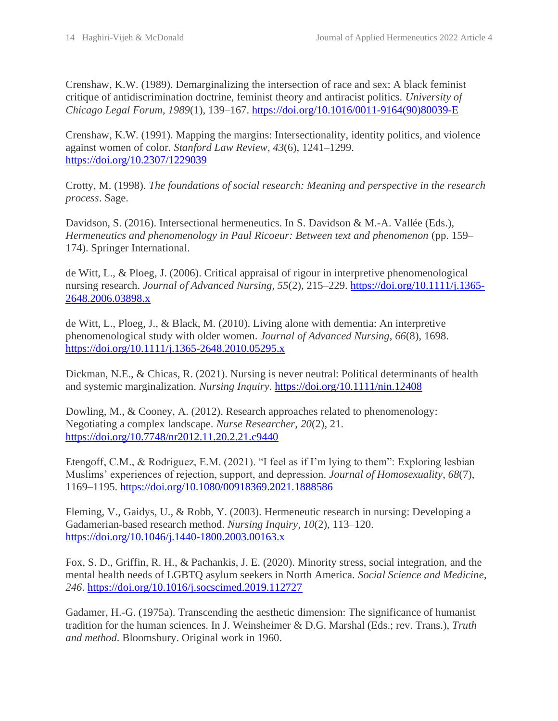Crenshaw, K.W. (1989). Demarginalizing the intersection of race and sex: A black feminist critique of antidiscrimination doctrine, feminist theory and antiracist politics. *University of Chicago Legal Forum*, *1989*(1), 139–167. [https://doi.org/10.1016/0011-9164\(90\)80039-E](https://doi.org/10.1016/0011-9164(90)80039-E)

Crenshaw, K.W. (1991). Mapping the margins: Intersectionality, identity politics, and violence against women of color. *Stanford Law Review*, *43*(6), 1241–1299. <https://doi.org/10.2307/1229039>

Crotty, M. (1998). *The foundations of social research: Meaning and perspective in the research process*. Sage.

Davidson, S. (2016). Intersectional hermeneutics. In S. Davidson & M.-A. Vallée (Eds.), *Hermeneutics and phenomenology in Paul Ricoeur: Between text and phenomenon* (pp. 159– 174). Springer International.

de Witt, L., & Ploeg, J. (2006). Critical appraisal of rigour in interpretive phenomenological nursing research. *Journal of Advanced Nursing*, *55*(2), 215–229. [https://doi.org/10.1111/j.1365-](https://doi.org/10.1111/j.1365-2648.2006.03898.x) [2648.2006.03898.x](https://doi.org/10.1111/j.1365-2648.2006.03898.x)

de Witt, L., Ploeg, J., & Black, M. (2010). Living alone with dementia: An interpretive phenomenological study with older women. *Journal of Advanced Nursing*, *66*(8), 1698. <https://doi.org/10.1111/j.1365-2648.2010.05295.x>

Dickman, N.E., & Chicas, R. (2021). Nursing is never neutral: Political determinants of health and systemic marginalization. *Nursing Inquiry*.<https://doi.org/10.1111/nin.12408>

Dowling, M., & Cooney, A. (2012). Research approaches related to phenomenology: Negotiating a complex landscape. *Nurse Researcher*, *20*(2), 21. <https://doi.org/10.7748/nr2012.11.20.2.21.c9440>

Etengoff, C.M., & Rodriguez, E.M. (2021). "I feel as if I'm lying to them": Exploring lesbian Muslims' experiences of rejection, support, and depression. *Journal of Homosexuality*, *68*(7), 1169–1195.<https://doi.org/10.1080/00918369.2021.1888586>

Fleming, V., Gaidys, U., & Robb, Y. (2003). Hermeneutic research in nursing: Developing a Gadamerian-based research method. *Nursing Inquiry*, *10*(2), 113–120. <https://doi.org/10.1046/j.1440-1800.2003.00163.x>

Fox, S. D., Griffin, R. H., & Pachankis, J. E. (2020). Minority stress, social integration, and the mental health needs of LGBTQ asylum seekers in North America. *Social Science and Medicine*, *246*.<https://doi.org/10.1016/j.socscimed.2019.112727>

Gadamer, H.-G. (1975a). Transcending the aesthetic dimension: The significance of humanist tradition for the human sciences. In J. Weinsheimer & D.G. Marshal (Eds.; rev. Trans.), *Truth and method*. Bloomsbury. Original work in 1960.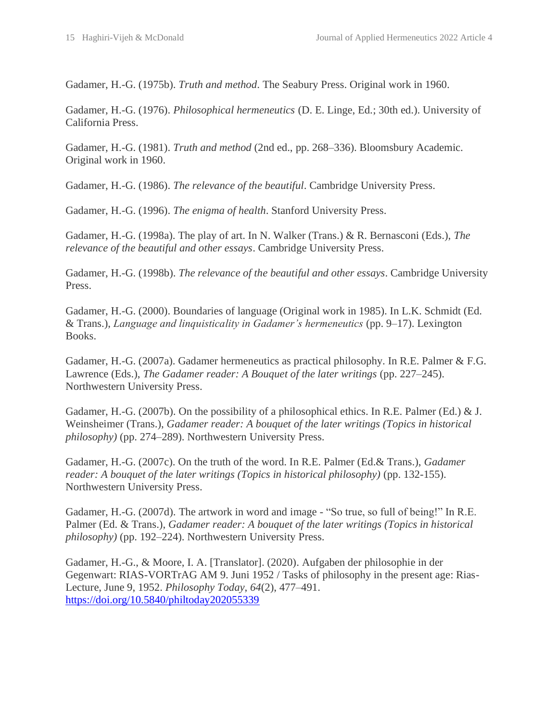Gadamer, H.-G. (1975b). *Truth and method*. The Seabury Press. Original work in 1960.

Gadamer, H.-G. (1976). *Philosophical hermeneutics* (D. E. Linge, Ed.; 30th ed.). University of California Press.

Gadamer, H.-G. (1981). *Truth and method* (2nd ed., pp. 268–336). Bloomsbury Academic. Original work in 1960.

Gadamer, H.-G. (1986). *The relevance of the beautiful*. Cambridge University Press.

Gadamer, H.-G. (1996). *The enigma of health*. Stanford University Press.

Gadamer, H.-G. (1998a). The play of art. In N. Walker (Trans.) & R. Bernasconi (Eds.), *The relevance of the beautiful and other essays*. Cambridge University Press.

Gadamer, H.-G. (1998b). *The relevance of the beautiful and other essays*. Cambridge University Press.

Gadamer, H.-G. (2000). Boundaries of language (Original work in 1985). In L.K. Schmidt (Ed. & Trans.), *Language and linquisticality in Gadamer's hermeneutics* (pp. 9–17). Lexington Books.

Gadamer, H.-G. (2007a). Gadamer hermeneutics as practical philosophy. In R.E. Palmer & F.G. Lawrence (Eds.), *The Gadamer reader: A Bouquet of the later writings* (pp. 227–245). Northwestern University Press.

Gadamer, H.-G. (2007b). On the possibility of a philosophical ethics. In R.E. Palmer (Ed.)  $& J.$ Weinsheimer (Trans.), *Gadamer reader: A bouquet of the later writings (Topics in historical philosophy)* (pp. 274–289). Northwestern University Press.

Gadamer, H.-G. (2007c). On the truth of the word. In R.E. Palmer (Ed.& Trans.), *Gadamer reader: A bouquet of the later writings (Topics in historical philosophy)* (pp. 132-155). Northwestern University Press.

Gadamer, H.-G. (2007d). The artwork in word and image - "So true, so full of being!" In R.E. Palmer (Ed. & Trans.), *Gadamer reader: A bouquet of the later writings (Topics in historical philosophy)* (pp. 192–224). Northwestern University Press.

Gadamer, H.-G., & Moore, I. A. [Translator]. (2020). Aufgaben der philosophie in der Gegenwart: RIAS-VORTrAG AM 9. Juni 1952 / Tasks of philosophy in the present age: Rias-Lecture, June 9, 1952. *Philosophy Today*, *64*(2), 477–491. <https://doi.org/10.5840/philtoday202055339>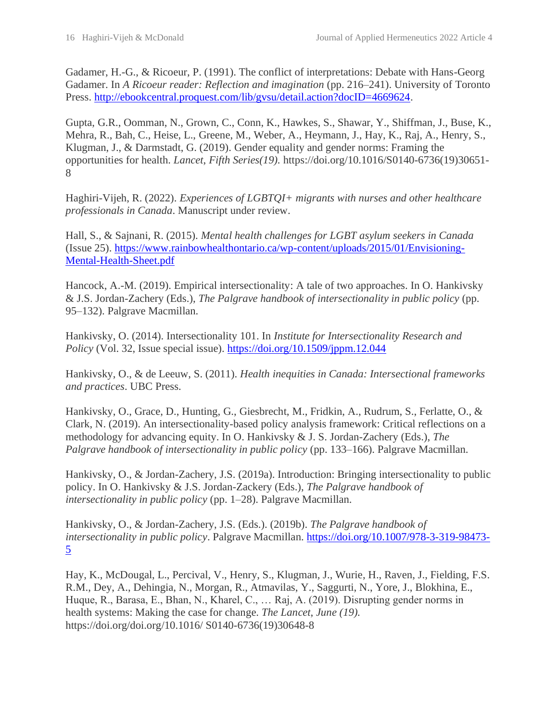Gadamer, H.-G., & Ricoeur, P. (1991). The conflict of interpretations: Debate with Hans-Georg Gadamer. In *A Ricoeur reader: Reflection and imagination* (pp. 216–241). University of Toronto Press. [http://ebookcentral.proquest.com/lib/gvsu/detail.action?docID=4669624.](http://ebookcentral.proquest.com/lib/gvsu/detail.action?docID=4669624)

Gupta, G.R., Oomman, N., Grown, C., Conn, K., Hawkes, S., Shawar, Y., Shiffman, J., Buse, K., Mehra, R., Bah, C., Heise, L., Greene, M., Weber, A., Heymann, J., Hay, K., Raj, A., Henry, S., Klugman, J., & Darmstadt, G. (2019). Gender equality and gender norms: Framing the opportunities for health. *Lancet*, *Fifth Series(19).* https://doi.org/10.1016/S0140-6736(19)30651- 8

Haghiri-Vijeh, R. (2022). *Experiences of LGBTQI+ migrants with nurses and other healthcare professionals in Canada*. Manuscript under review.

Hall, S., & Sajnani, R. (2015). *Mental health challenges for LGBT asylum seekers in Canada* (Issue 25). [https://www.rainbowhealthontario.ca/wp-content/uploads/2015/01/Envisioning-](https://www.rainbowhealthontario.ca/wp-content/uploads/2015/01/Envisioning-Mental-Health-Sheet.pdf)[Mental-Health-Sheet.pdf](https://www.rainbowhealthontario.ca/wp-content/uploads/2015/01/Envisioning-Mental-Health-Sheet.pdf)

Hancock, A.-M. (2019). Empirical intersectionality: A tale of two approaches. In O. Hankivsky & J.S. Jordan-Zachery (Eds.), *The Palgrave handbook of intersectionality in public policy* (pp. 95–132). Palgrave Macmillan.

Hankivsky, O. (2014). Intersectionality 101. In *Institute for Intersectionality Research and Policy* (Vol. 32, Issue special issue).<https://doi.org/10.1509/jppm.12.044>

Hankivsky, O., & de Leeuw, S. (2011). *Health inequities in Canada: Intersectional frameworks and practices*. UBC Press.

Hankivsky, O., Grace, D., Hunting, G., Giesbrecht, M., Fridkin, A., Rudrum, S., Ferlatte, O., & Clark, N. (2019). An intersectionality-based policy analysis framework: Critical reflections on a methodology for advancing equity. In O. Hankivsky & J. S. Jordan-Zachery (Eds.), *The Palgrave handbook of intersectionality in public policy* (pp. 133–166). Palgrave Macmillan.

Hankivsky, O., & Jordan-Zachery, J.S. (2019a). Introduction: Bringing intersectionality to public policy. In O. Hankivsky & J.S. Jordan-Zackery (Eds.), *The Palgrave handbook of intersectionality in public policy* (pp. 1–28). Palgrave Macmillan.

Hankivsky, O., & Jordan-Zachery, J.S. (Eds.). (2019b). *The Palgrave handbook of intersectionality in public policy*. Palgrave Macmillan. [https://doi.org/10.1007/978-3-319-98473-](https://doi.org/10.1007/978-3-319-98473-5) [5](https://doi.org/10.1007/978-3-319-98473-5)

Hay, K., McDougal, L., Percival, V., Henry, S., Klugman, J., Wurie, H., Raven, J., Fielding, F.S. R.M., Dey, A., Dehingia, N., Morgan, R., Atmavilas, Y., Saggurti, N., Yore, J., Blokhina, E., Huque, R., Barasa, E., Bhan, N., Kharel, C., … Raj, A. (2019). Disrupting gender norms in health systems: Making the case for change. *The Lancet*, *June (19).* https://doi.org/doi.org/10.1016/ S0140-6736(19)30648-8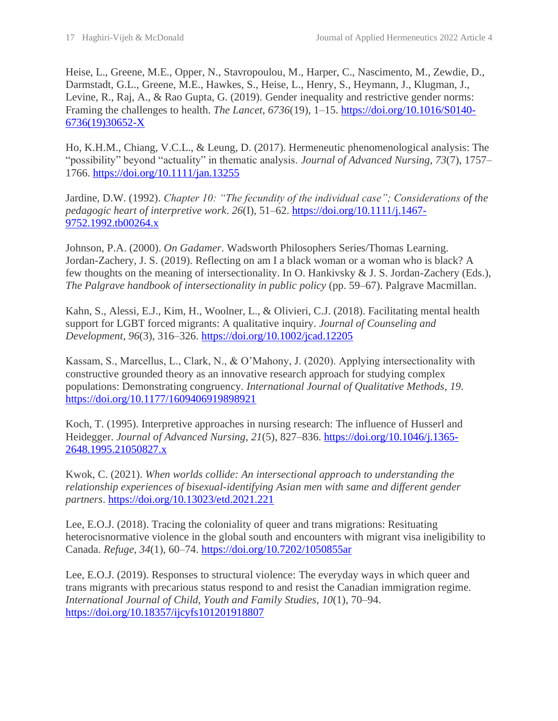Heise, L., Greene, M.E., Opper, N., Stavropoulou, M., Harper, C., Nascimento, M., Zewdie, D., Darmstadt, G.L., Greene, M.E., Hawkes, S., Heise, L., Henry, S., Heymann, J., Klugman, J., Levine, R., Raj, A., & Rao Gupta, G. (2019). Gender inequality and restrictive gender norms: Framing the challenges to health. *The Lancet*, *6736*(19), 1–15. [https://doi.org/10.1016/S0140-](https://doi.org/10.1016/S0140-6736(19)30652-X) [6736\(19\)30652-X](https://doi.org/10.1016/S0140-6736(19)30652-X)

Ho, K.H.M., Chiang, V.C.L., & Leung, D. (2017). Hermeneutic phenomenological analysis: The "possibility" beyond "actuality" in thematic analysis. *Journal of Advanced Nursing*, *73*(7), 1757– 1766.<https://doi.org/10.1111/jan.13255>

Jardine, D.W. (1992). *Chapter 10: "The fecundity of the individual case"; Considerations of the pedagogic heart of interpretive work*. *26*(I), 51–62. [https://doi.org/10.1111/j.1467-](https://doi.org/10.1111/j.1467-9752.1992.tb00264.x) [9752.1992.tb00264.x](https://doi.org/10.1111/j.1467-9752.1992.tb00264.x)

Johnson, P.A. (2000). *On Gadamer*. Wadsworth Philosophers Series/Thomas Learning. Jordan-Zachery, J. S. (2019). Reflecting on am I a black woman or a woman who is black? A few thoughts on the meaning of intersectionality. In O. Hankivsky & J. S. Jordan-Zachery (Eds.), *The Palgrave handbook of intersectionality in public policy* (pp. 59–67). Palgrave Macmillan.

Kahn, S., Alessi, E.J., Kim, H., Woolner, L., & Olivieri, C.J. (2018). Facilitating mental health support for LGBT forced migrants: A qualitative inquiry. *Journal of Counseling and Development*, *96*(3), 316–326.<https://doi.org/10.1002/jcad.12205>

Kassam, S., Marcellus, L., Clark, N., & O'Mahony, J. (2020). Applying intersectionality with constructive grounded theory as an innovative research approach for studying complex populations: Demonstrating congruency. *International Journal of Qualitative Methods*, *19*. <https://doi.org/10.1177/1609406919898921>

Koch, T. (1995). Interpretive approaches in nursing research: The influence of Husserl and Heidegger. *Journal of Advanced Nursing*, *21*(5), 827–836. [https://doi.org/10.1046/j.1365-](https://doi.org/10.1046/j.1365-2648.1995.21050827.x) [2648.1995.21050827.x](https://doi.org/10.1046/j.1365-2648.1995.21050827.x)

Kwok, C. (2021). *When worlds collide: An intersectional approach to understanding the relationship experiences of bisexual-identifying Asian men with same and different gender partners*.<https://doi.org/10.13023/etd.2021.221>

Lee, E.O.J. (2018). Tracing the coloniality of queer and trans migrations: Resituating heterocisnormative violence in the global south and encounters with migrant visa ineligibility to Canada. *Refuge*, *34*(1), 60–74. <https://doi.org/10.7202/1050855ar>

Lee, E.O.J. (2019). Responses to structural violence: The everyday ways in which queer and trans migrants with precarious status respond to and resist the Canadian immigration regime. *International Journal of Child, Youth and Family Studies*, *10*(1), 70–94. <https://doi.org/10.18357/ijcyfs101201918807>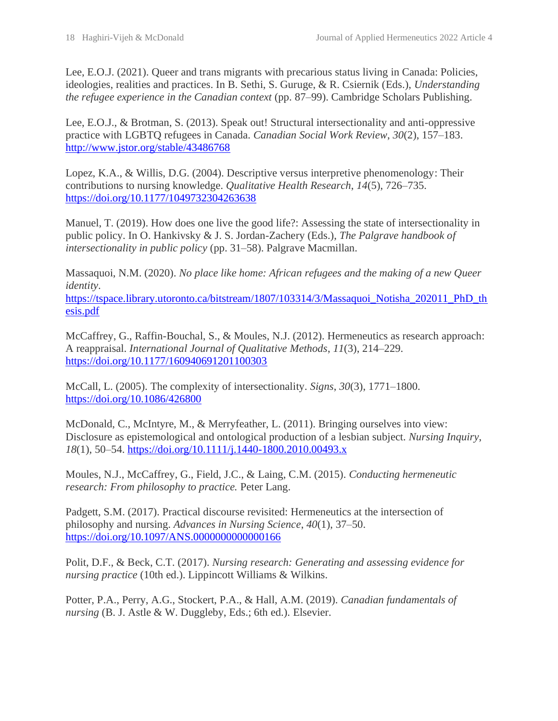Lee, E.O.J. (2021). Queer and trans migrants with precarious status living in Canada: Policies, ideologies, realities and practices. In B. Sethi, S. Guruge, & R. Csiernik (Eds.), *Understanding the refugee experience in the Canadian context* (pp. 87–99). Cambridge Scholars Publishing.

Lee, E.O.J., & Brotman, S. (2013). Speak out! Structural intersectionality and anti-oppressive practice with LGBTQ refugees in Canada. *Canadian Social Work Review*, *30*(2), 157–183. <http://www.jstor.org/stable/43486768>

Lopez, K.A., & Willis, D.G. (2004). Descriptive versus interpretive phenomenology: Their contributions to nursing knowledge. *Qualitative Health Research*, *14*(5), 726–735. <https://doi.org/10.1177/1049732304263638>

Manuel, T. (2019). How does one live the good life?: Assessing the state of intersectionality in public policy. In O. Hankivsky & J. S. Jordan-Zachery (Eds.), *The Palgrave handbook of intersectionality in public policy* (pp. 31–58). Palgrave Macmillan.

Massaquoi, N.M. (2020). *No place like home: African refugees and the making of a new Queer identity*.

[https://tspace.library.utoronto.ca/bitstream/1807/103314/3/Massaquoi\\_Notisha\\_202011\\_PhD\\_th](https://tspace.library.utoronto.ca/bitstream/1807/103314/3/Massaquoi_Notisha_202011_PhD_thesis.pdf) [esis.pdf](https://tspace.library.utoronto.ca/bitstream/1807/103314/3/Massaquoi_Notisha_202011_PhD_thesis.pdf)

McCaffrey, G., Raffin-Bouchal, S., & Moules, N.J. (2012). Hermeneutics as research approach: A reappraisal. *International Journal of Qualitative Methods*, *11*(3), 214–229. <https://doi.org/10.1177/160940691201100303>

McCall, L. (2005). The complexity of intersectionality. *Signs*, *30*(3), 1771–1800. <https://doi.org/10.1086/426800>

McDonald, C., McIntyre, M., & Merryfeather, L. (2011). Bringing ourselves into view: Disclosure as epistemological and ontological production of a lesbian subject. *Nursing Inquiry*, *18*(1), 50–54.<https://doi.org/10.1111/j.1440-1800.2010.00493.x>

Moules, N.J., McCaffrey, G., Field, J.C., & Laing, C.M. (2015). *Conducting hermeneutic research: From philosophy to practice.* Peter Lang.

Padgett, S.M. (2017). Practical discourse revisited: Hermeneutics at the intersection of philosophy and nursing. *Advances in Nursing Science*, *40*(1), 37–50. <https://doi.org/10.1097/ANS.0000000000000166>

Polit, D.F., & Beck, C.T. (2017). *Nursing research: Generating and assessing evidence for nursing practice* (10th ed.). Lippincott Williams & Wilkins.

Potter, P.A., Perry, A.G., Stockert, P.A., & Hall, A.M. (2019). *Canadian fundamentals of nursing* (B. J. Astle & W. Duggleby, Eds.; 6th ed.). Elsevier.